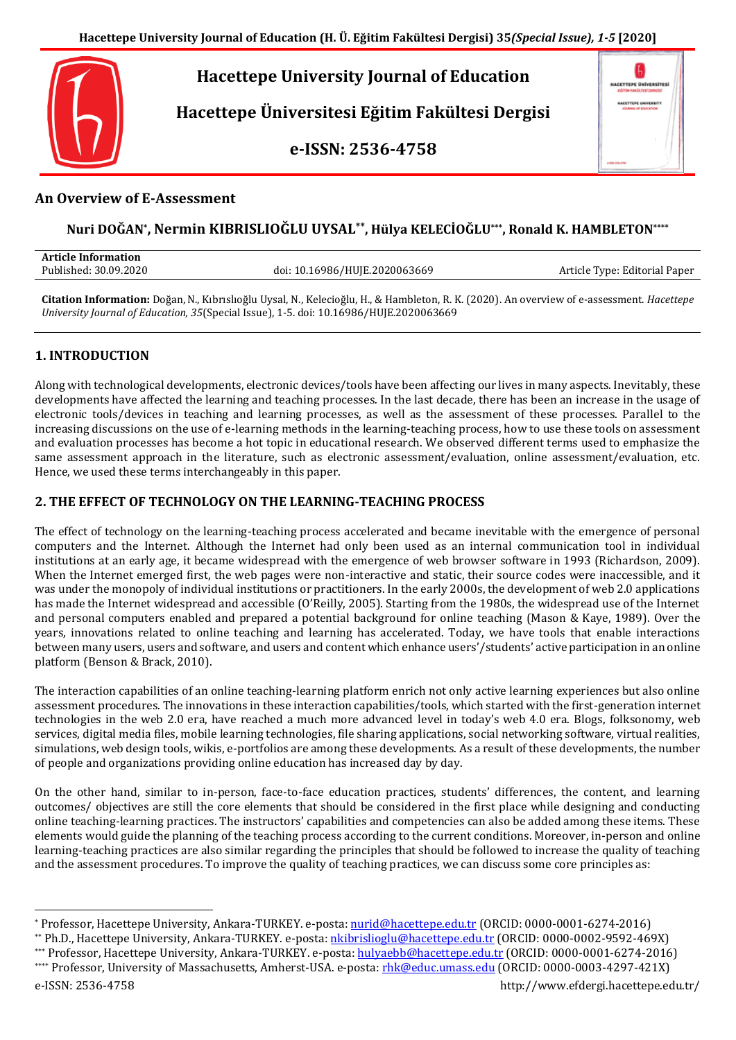

**Hacettepe Üniversitesi Eğitim Fakültesi Dergisi**

**e-ISSN: 2536-4758**

| <b>HACETTEPE ÜNIVERSITESI</b><br>TIM ARKER TITEL OVERGIN<br><b>HACKTTEPE UNIVERSITY</b><br><b>IRAIAL OF EDUCATION</b><br><b>ACCO</b> |  |
|--------------------------------------------------------------------------------------------------------------------------------------|--|
| ı                                                                                                                                    |  |

## **An Overview of E-Assessment**

# **Nuri DOĞAN\* , Nermin KIBRISLIOĞLU UYSAL\*\*, Hülya KELECİOĞLU\*\*\*, Ronald K. HAMBLETON\*\*\*\***

| <b>Article Information</b> |                               |                               |
|----------------------------|-------------------------------|-------------------------------|
| Published: 30.09.2020      | doi: 10.16986/HUJE.2020063669 | Article Type: Editorial Paper |
|                            |                               |                               |

**Citation Information:** Doğan, N., Kıbrıslıoğlu Uysal, N., Kelecioğlu, H., & Hambleton, R. K. (2020). An overview of e-assessment. *Hacettepe University Journal of Education, 35*(Special Issue), 1-5. doi: 10.16986/HUJE.2020063669

## **1. INTRODUCTION**

Along with technological developments, electronic devices/tools have been affecting our lives in many aspects. Inevitably, these developments have affected the learning and teaching processes. In the last decade, there has been an increase in the usage of electronic tools/devices in teaching and learning processes, as well as the assessment of these processes. Parallel to the increasing discussions on the use of e-learning methods in the learning-teaching process, how to use these tools on assessment and evaluation processes has become a hot topic in educational research. We observed different terms used to emphasize the same assessment approach in the literature, such as electronic assessment/evaluation, online assessment/evaluation, etc. Hence, we used these terms interchangeably in this paper.

## **2. THE EFFECT OF TECHNOLOGY ON THE LEARNING-TEACHING PROCESS**

The effect of technology on the learning-teaching process accelerated and became inevitable with the emergence of personal computers and the Internet. Although the Internet had only been used as an internal communication tool in individual institutions at an early age, it became widespread with the emergence of web browser software in 1993 (Richardson, 2009). When the Internet emerged first, the web pages were non-interactive and static, their source codes were inaccessible, and it was under the monopoly of individual institutions or practitioners. In the early 2000s, the development of web 2.0 applications has made the Internet widespread and accessible (O'Reilly, 2005). Starting from the 1980s, the widespread use of the Internet and personal computers enabled and prepared a potential background for online teaching (Mason & Kaye, 1989). Over the years, innovations related to online teaching and learning has accelerated. Today, we have tools that enable interactions between many users, users and software, and users and content which enhance users'/students' active participation in an online platform (Benson & Brack, 2010).

The interaction capabilities of an online teaching-learning platform enrich not only active learning experiences but also online assessment procedures. The innovations in these interaction capabilities/tools, which started with the first-generation internet technologies in the web 2.0 era, have reached a much more advanced level in today's web 4.0 era. Blogs, folksonomy, web services, digital media files, mobile learning technologies, file sharing applications, social networking software, virtual realities, simulations, web design tools, wikis, e-portfolios are among these developments. As a result of these developments, the number of people and organizations providing online education has increased day by day.

On the other hand, similar to in-person, face-to-face education practices, students' differences, the content, and learning outcomes/ objectives are still the core elements that should be considered in the first place while designing and conducting online teaching-learning practices. The instructors' capabilities and competencies can also be added among these items. These elements would guide the planning of the teaching process according to the current conditions. Moreover, in-person and online learning-teaching practices are also similar regarding the principles that should be followed to increase the quality of teaching and the assessment procedures. To improve the quality of teaching practices, we can discuss some core principles as:

 $\overline{a}$ \* Professor, Hacettepe University, Ankara-TURKEY. e-posta: [nurid@hacettepe.edu.tr](mailto:nurid@hacettepe.edu.tr) (ORCID: 0000-0001-6274-2016)

<sup>\*\*</sup> Ph.D., Hacettepe University, Ankara-TURKEY. e-posta: [nkibrislioglu@hacettepe.edu.tr](mailto:nkibrislioglu@hacettepe.edu.tr) (ORCID: 0000-0002-9592-469X)

<sup>\*\*\*</sup> Professor, Hacettepe University, Ankara-TURKEY. e-posta: [hulyaebb@hacettepe.edu.tr](mailto:hulyaebb@hacettepe.edu.tr) (ORCID: 0000-0001-6274-2016) \*\*\*\* Professor, University of Massachusetts, Amherst-USA. e-posta: [rhk@educ.umass.edu](mailto:rhk@educ.umass.edu) (ORCID: 0000-0003-4297-421X)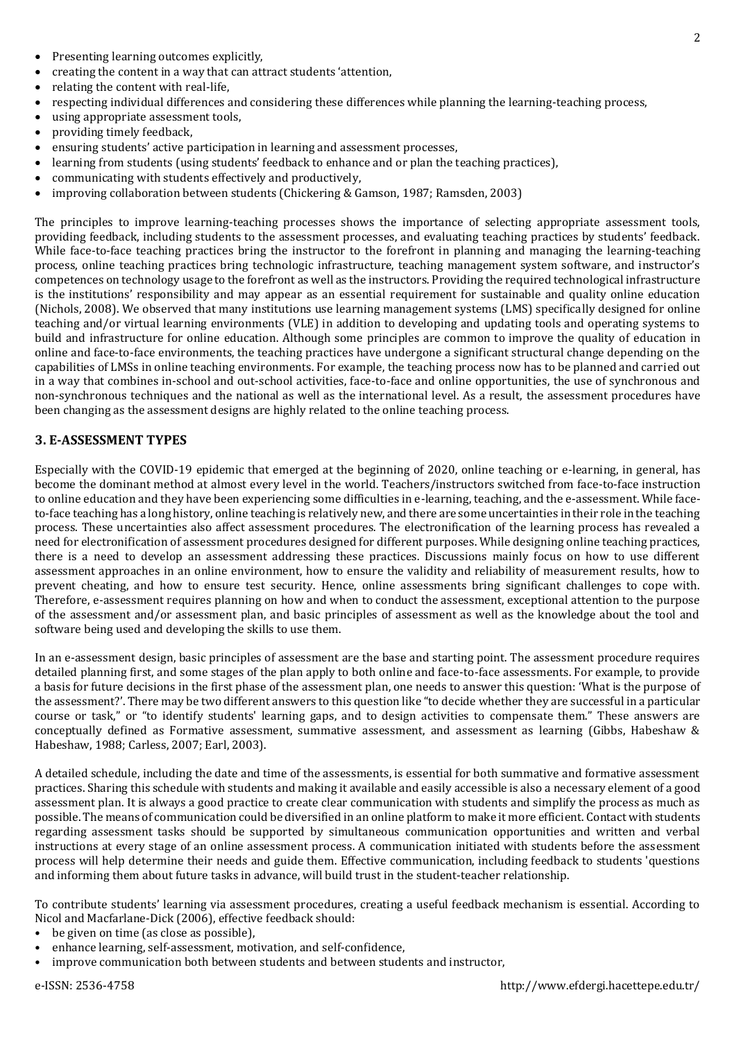- creating the content in a way that can attract students 'attention,
- relating the content with real-life,
- respecting individual differences and considering these differences while planning the learning-teaching process,
- using appropriate assessment tools,
- providing timely feedback,
- ensuring students' active participation in learning and assessment processes,
- learning from students (using students' feedback to enhance and or plan the teaching practices),
- communicating with students effectively and productively,
- improving collaboration between students (Chickering & Gamson, 1987; Ramsden, 2003)

The principles to improve learning-teaching processes shows the importance of selecting appropriate assessment tools, providing feedback, including students to the assessment processes, and evaluating teaching practices by students' feedback. While face-to-face teaching practices bring the instructor to the forefront in planning and managing the learning-teaching process, online teaching practices bring technologic infrastructure, teaching management system software, and instructor's competences on technology usage to the forefront as well as the instructors. Providing the required technological infrastructure is the institutions' responsibility and may appear as an essential requirement for sustainable and quality online education (Nichols, 2008). We observed that many institutions use learning management systems (LMS) specifically designed for online teaching and/or virtual learning environments (VLE) in addition to developing and updating tools and operating systems to build and infrastructure for online education. Although some principles are common to improve the quality of education in online and face-to-face environments, the teaching practices have undergone a significant structural change depending on the capabilities of LMSs in online teaching environments. For example, the teaching process now has to be planned and carried out in a way that combines in-school and out-school activities, face-to-face and online opportunities, the use of synchronous and non-synchronous techniques and the national as well as the international level. As a result, the assessment procedures have been changing as the assessment designs are highly related to the online teaching process.

### **3. E-ASSESSMENT TYPES**

Especially with the COVID-19 epidemic that emerged at the beginning of 2020, online teaching or e-learning, in general, has become the dominant method at almost every level in the world. Teachers/instructors switched from face-to-face instruction to online education and they have been experiencing some difficulties in e-learning, teaching, and the e-assessment. While faceto-face teaching has a long history, online teaching is relatively new, and there are some uncertainties in their role in the teaching process. These uncertainties also affect assessment procedures. The electronification of the learning process has revealed a need for electronification of assessment procedures designed for different purposes. While designing online teaching practices, there is a need to develop an assessment addressing these practices. Discussions mainly focus on how to use different assessment approaches in an online environment, how to ensure the validity and reliability of measurement results, how to prevent cheating, and how to ensure test security. Hence, online assessments bring significant challenges to cope with. Therefore, e-assessment requires planning on how and when to conduct the assessment, exceptional attention to the purpose of the assessment and/or assessment plan, and basic principles of assessment as well as the knowledge about the tool and software being used and developing the skills to use them.

In an e-assessment design, basic principles of assessment are the base and starting point. The assessment procedure requires detailed planning first, and some stages of the plan apply to both online and face-to-face assessments. For example, to provide a basis for future decisions in the first phase of the assessment plan, one needs to answer this question: 'What is the purpose of the assessment?'. There may be two different answers to this question like "to decide whether they are successful in a particular course or task," or "to identify students' learning gaps, and to design activities to compensate them." These answers are conceptually defined as Formative assessment, summative assessment, and assessment as learning (Gibbs, Habeshaw & Habeshaw, 1988; Carless, 2007; Earl, 2003).

A detailed schedule, including the date and time of the assessments, is essential for both summative and formative assessment practices. Sharing this schedule with students and making it available and easily accessible is also a necessary element of a good assessment plan. It is always a good practice to create clear communication with students and simplify the process as much as possible. The means of communication could be diversified in an online platform to make it more efficient. Contact with students regarding assessment tasks should be supported by simultaneous communication opportunities and written and verbal instructions at every stage of an online assessment process. A communication initiated with students before the assessment process will help determine their needs and guide them. Effective communication, including feedback to students 'questions and informing them about future tasks in advance, will build trust in the student-teacher relationship.

To contribute students' learning via assessment procedures, creating a useful feedback mechanism is essential. According to Nicol and Macfarlane-Dick (2006), effective feedback should:

- be given on time (as close as possible),
- enhance learning, self-assessment, motivation, and self-confidence,
- improve communication both between students and between students and instructor,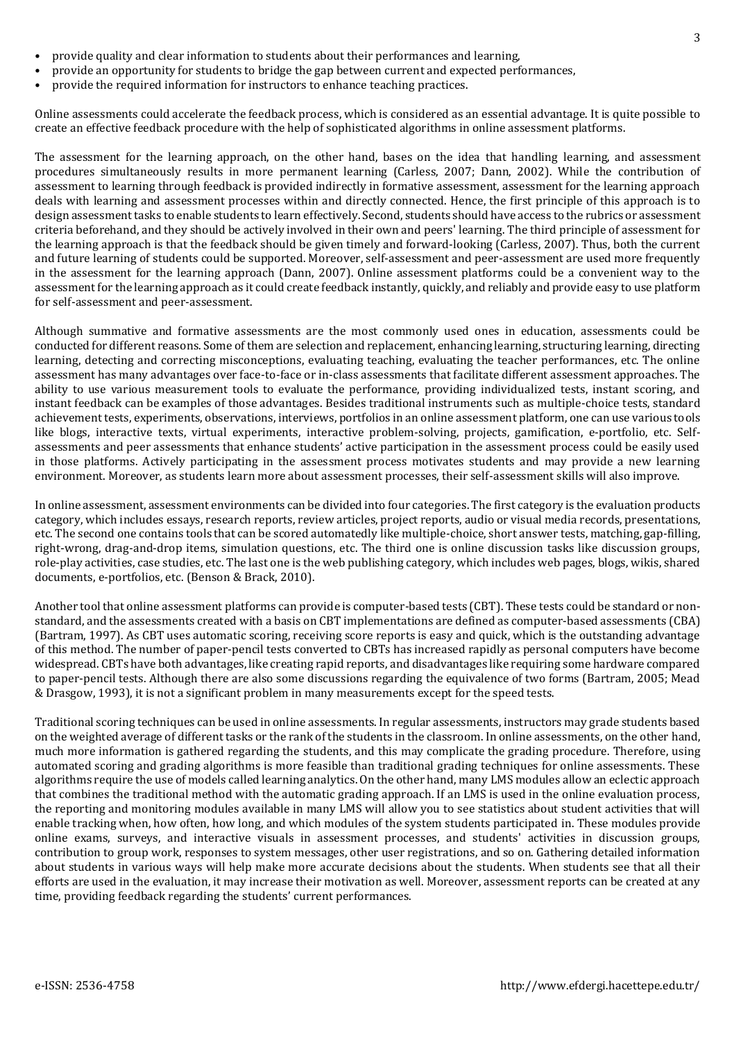- provide quality and clear information to students about their performances and learning,
- provide an opportunity for students to bridge the gap between current and expected performances,
- provide the required information for instructors to enhance teaching practices.

Online assessments could accelerate the feedback process, which is considered as an essential advantage. It is quite possible to create an effective feedback procedure with the help of sophisticated algorithms in online assessment platforms.

The assessment for the learning approach, on the other hand, bases on the idea that handling learning, and assessment procedures simultaneously results in more permanent learning (Carless, 2007; Dann, 2002). While the contribution of assessment to learning through feedback is provided indirectly in formative assessment, assessment for the learning approach deals with learning and assessment processes within and directly connected. Hence, the first principle of this approach is to design assessment tasks to enable students to learn effectively. Second, students should have access to the rubrics or assessment criteria beforehand, and they should be actively involved in their own and peers' learning. The third principle of assessment for the learning approach is that the feedback should be given timely and forward-looking (Carless, 2007). Thus, both the current and future learning of students could be supported. Moreover, self-assessment and peer-assessment are used more frequently in the assessment for the learning approach (Dann, 2007). Online assessment platforms could be a convenient way to the assessment for the learning approach as it could create feedback instantly, quickly, and reliably and provide easy to use platform for self-assessment and peer-assessment.

Although summative and formative assessments are the most commonly used ones in education, assessments could be conducted for different reasons. Some of them are selection and replacement, enhancing learning, structuring learning, directing learning, detecting and correcting misconceptions, evaluating teaching, evaluating the teacher performances, etc. The online assessment has many advantages over face-to-face or in-class assessments that facilitate different assessment approaches. The ability to use various measurement tools to evaluate the performance, providing individualized tests, instant scoring, and instant feedback can be examples of those advantages. Besides traditional instruments such as multiple-choice tests, standard achievement tests, experiments, observations, interviews, portfolios in an online assessment platform, one can use various tools like blogs, interactive texts, virtual experiments, interactive problem-solving, projects, gamification, e-portfolio, etc. Selfassessments and peer assessments that enhance students' active participation in the assessment process could be easily used in those platforms. Actively participating in the assessment process motivates students and may provide a new learning environment. Moreover, as students learn more about assessment processes, their self-assessment skills will also improve.

In online assessment, assessment environments can be divided into four categories. The first category is the evaluation products category, which includes essays, research reports, review articles, project reports, audio or visual media records, presentations, etc. The second one contains tools that can be scored automatedly like multiple-choice, short answer tests, matching, gap-filling, right-wrong, drag-and-drop items, simulation questions, etc. The third one is online discussion tasks like discussion groups, role-play activities, case studies, etc. The last one is the web publishing category, which includes web pages, blogs, wikis, shared documents, e-portfolios, etc. (Benson & Brack, 2010).

Another tool that online assessment platforms can provide is computer-based tests (CBT). These tests could be standard or nonstandard, and the assessments created with a basis on CBT implementations are defined as computer-based assessments (CBA) (Bartram, 1997). As CBT uses automatic scoring, receiving score reports is easy and quick, which is the outstanding advantage of this method. The number of paper-pencil tests converted to CBTs has increased rapidly as personal computers have become widespread. CBTs have both advantages, like creating rapid reports, and disadvantages like requiring some hardware compared to paper-pencil tests. Although there are also some discussions regarding the equivalence of two forms (Bartram, 2005; Mead & Drasgow, 1993), it is not a significant problem in many measurements except for the speed tests.

Traditional scoring techniques can be used in online assessments. In regular assessments, instructors may grade students based on the weighted average of different tasks or the rank of the students in the classroom. In online assessments, on the other hand, much more information is gathered regarding the students, and this may complicate the grading procedure. Therefore, using automated scoring and grading algorithms is more feasible than traditional grading techniques for online assessments. These algorithms require the use of models called learning analytics. On the other hand, many LMS modules allow an eclectic approach that combines the traditional method with the automatic grading approach. If an LMS is used in the online evaluation process, the reporting and monitoring modules available in many LMS will allow you to see statistics about student activities that will enable tracking when, how often, how long, and which modules of the system students participated in. These modules provide online exams, surveys, and interactive visuals in assessment processes, and students' activities in discussion groups, contribution to group work, responses to system messages, other user registrations, and so on. Gathering detailed information about students in various ways will help make more accurate decisions about the students. When students see that all their efforts are used in the evaluation, it may increase their motivation as well. Moreover, assessment reports can be created at any time, providing feedback regarding the students' current performances.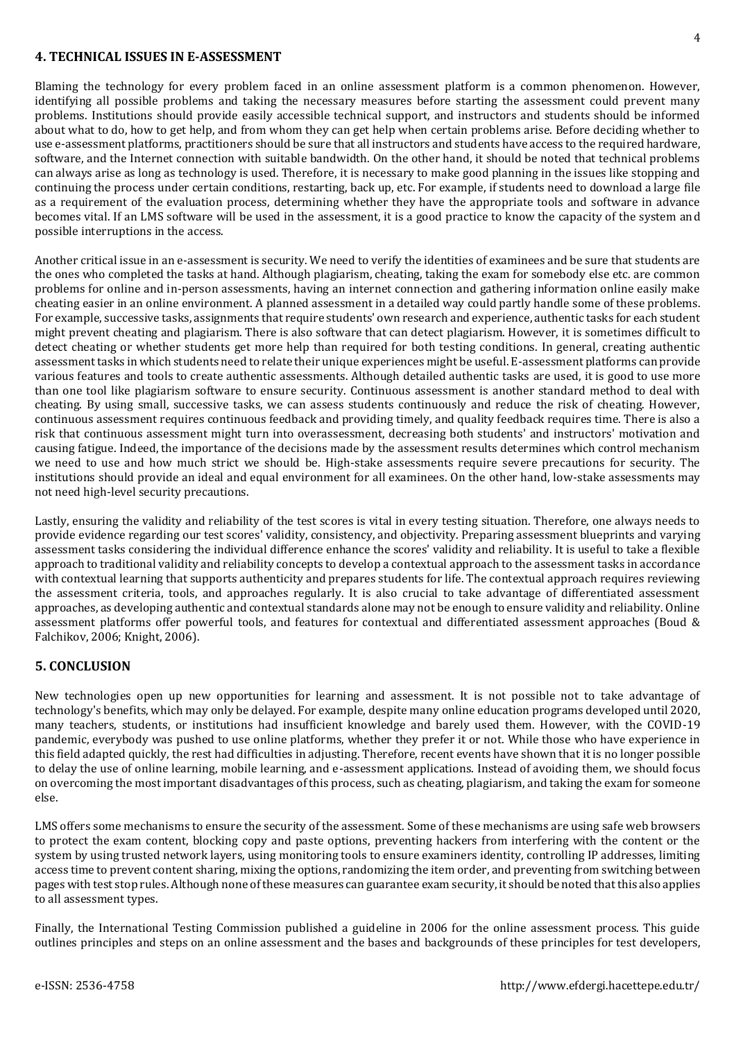### **4. TECHNICAL ISSUES IN E-ASSESSMENT**

Blaming the technology for every problem faced in an online assessment platform is a common phenomenon. However, identifying all possible problems and taking the necessary measures before starting the assessment could prevent many problems. Institutions should provide easily accessible technical support, and instructors and students should be informed about what to do, how to get help, and from whom they can get help when certain problems arise. Before deciding whether to use e-assessment platforms, practitioners should be sure that all instructors and students have access to the required hardware, software, and the Internet connection with suitable bandwidth. On the other hand, it should be noted that technical problems can always arise as long as technology is used. Therefore, it is necessary to make good planning in the issues like stopping and continuing the process under certain conditions, restarting, back up, etc. For example, if students need to download a large file as a requirement of the evaluation process, determining whether they have the appropriate tools and software in advance becomes vital. If an LMS software will be used in the assessment, it is a good practice to know the capacity of the system and possible interruptions in the access.

Another critical issue in an e-assessment is security. We need to verify the identities of examinees and be sure that students are the ones who completed the tasks at hand. Although plagiarism, cheating, taking the exam for somebody else etc. are common problems for online and in-person assessments, having an internet connection and gathering information online easily make cheating easier in an online environment. A planned assessment in a detailed way could partly handle some of these problems. For example, successive tasks, assignments that require students' own research and experience, authentic tasks for each student might prevent cheating and plagiarism. There is also software that can detect plagiarism. However, it is sometimes difficult to detect cheating or whether students get more help than required for both testing conditions. In general, creating authentic assessment tasks in which students need to relate their unique experiences might be useful. E-assessment platforms can provide various features and tools to create authentic assessments. Although detailed authentic tasks are used, it is good to use more than one tool like plagiarism software to ensure security. Continuous assessment is another standard method to deal with cheating. By using small, successive tasks, we can assess students continuously and reduce the risk of cheating. However, continuous assessment requires continuous feedback and providing timely, and quality feedback requires time. There is also a risk that continuous assessment might turn into overassessment, decreasing both students' and instructors' motivation and causing fatigue. Indeed, the importance of the decisions made by the assessment results determines which control mechanism we need to use and how much strict we should be. High-stake assessments require severe precautions for security. The institutions should provide an ideal and equal environment for all examinees. On the other hand, low-stake assessments may not need high-level security precautions.

Lastly, ensuring the validity and reliability of the test scores is vital in every testing situation. Therefore, one always needs to provide evidence regarding our test scores' validity, consistency, and objectivity. Preparing assessment blueprints and varying assessment tasks considering the individual difference enhance the scores' validity and reliability. It is useful to take a flexible approach to traditional validity and reliability concepts to develop a contextual approach to the assessment tasks in accordance with contextual learning that supports authenticity and prepares students for life. The contextual approach requires reviewing the assessment criteria, tools, and approaches regularly. It is also crucial to take advantage of differentiated assessment approaches, as developing authentic and contextual standards alone may not be enough to ensure validity and reliability. Online assessment platforms offer powerful tools, and features for contextual and differentiated assessment approaches (Boud & Falchikov, 2006; Knight, 2006).

### **5. CONCLUSION**

New technologies open up new opportunities for learning and assessment. It is not possible not to take advantage of technology's benefits, which may only be delayed. For example, despite many online education programs developed until 2020, many teachers, students, or institutions had insufficient knowledge and barely used them. However, with the COVID-19 pandemic, everybody was pushed to use online platforms, whether they prefer it or not. While those who have experience in this field adapted quickly, the rest had difficulties in adjusting. Therefore, recent events have shown that it is no longer possible to delay the use of online learning, mobile learning, and e-assessment applications. Instead of avoiding them, we should focus on overcoming the most important disadvantages of this process, such as cheating, plagiarism, and taking the exam for someone else.

LMS offers some mechanisms to ensure the security of the assessment. Some of these mechanisms are using safe web browsers to protect the exam content, blocking copy and paste options, preventing hackers from interfering with the content or the system by using trusted network layers, using monitoring tools to ensure examiners identity, controlling IP addresses, limiting access time to prevent content sharing, mixing the options, randomizing the item order, and preventing from switching between pages with test stop rules. Although none of these measures can guarantee exam security, it should be noted that this also applies to all assessment types.

Finally, the International Testing Commission published a guideline in 2006 for the online assessment process. This guide outlines principles and steps on an online assessment and the bases and backgrounds of these principles for test developers,